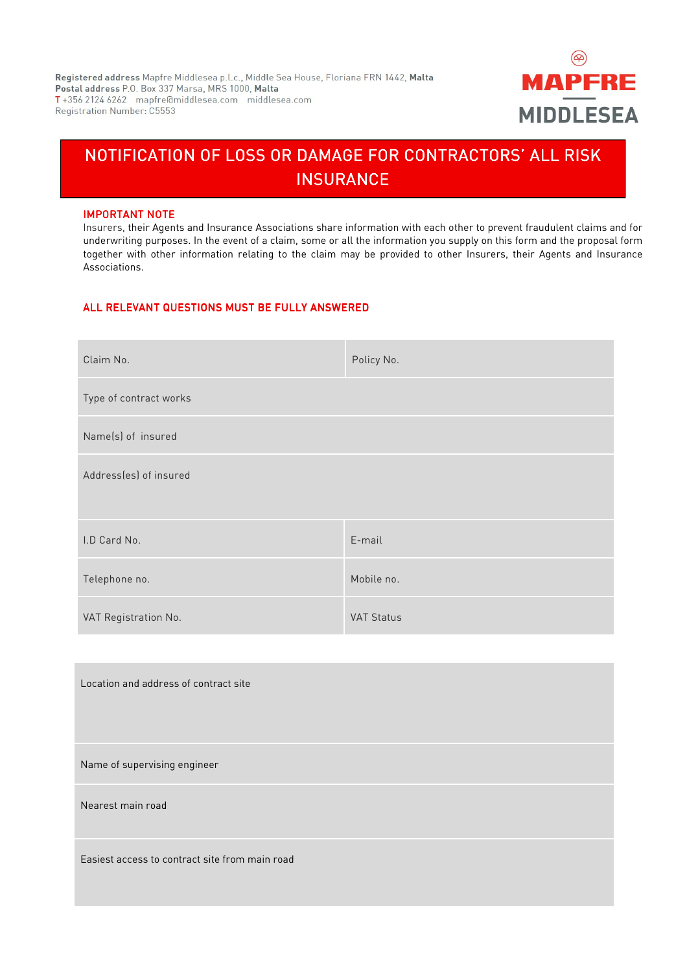

# NOTIFICATION OF LOSS OR DAMAGE FOR CONTRACTORS' ALL RISK **INSURANCE**

### **IMPORTANT NOTE**

Ī

Insurers, their Agents and Insurance Associations share information with each other to prevent fraudulent claims and for underwriting purposes. In the event of a claim, some or all the information you supply on this form and the proposal form together with other information relating to the claim may be provided to other Insurers, their Agents and Insurance Associations.

## ALL RELEVANT QUESTIONS MUST BE FULLY ANSWERED

| Claim No.              | Policy No.        |
|------------------------|-------------------|
| Type of contract works |                   |
| Name(s) of insured     |                   |
| Address(es) of insured |                   |
| I.D Card No.           | E-mail            |
| Telephone no.          | Mobile no.        |
| VAT Registration No.   | <b>VAT Status</b> |

| Location and address of contract site          |
|------------------------------------------------|
| Name of supervising engineer                   |
| Nearest main road                              |
| Easiest access to contract site from main road |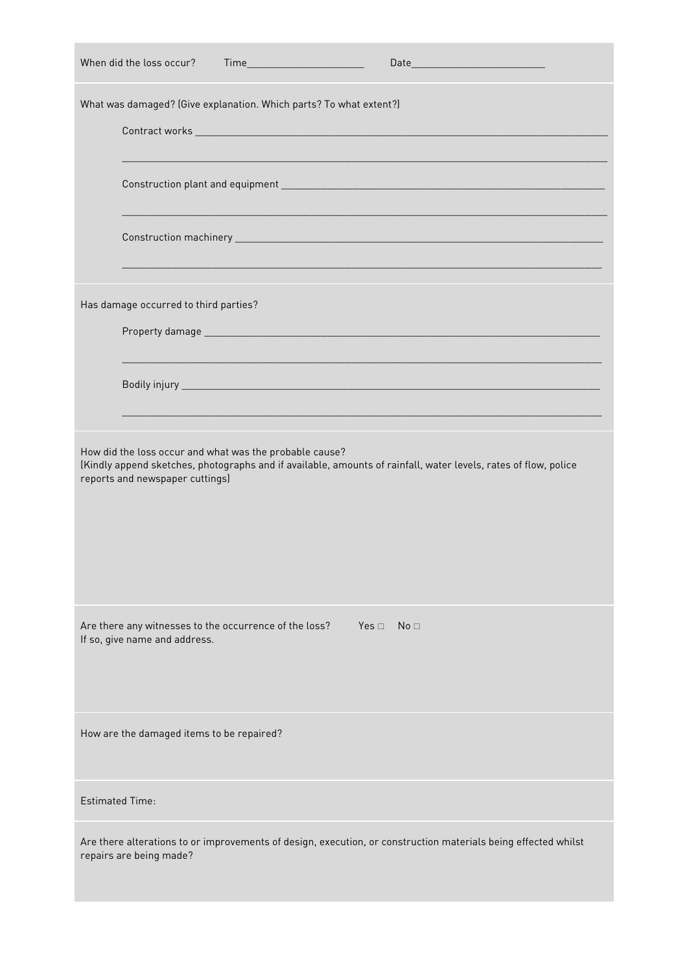| When did the loss occur?<br>Time_________________________                                                                                                                                                     |
|---------------------------------------------------------------------------------------------------------------------------------------------------------------------------------------------------------------|
| What was damaged? (Give explanation. Which parts? To what extent?)                                                                                                                                            |
|                                                                                                                                                                                                               |
|                                                                                                                                                                                                               |
|                                                                                                                                                                                                               |
| Has damage occurred to third parties?                                                                                                                                                                         |
|                                                                                                                                                                                                               |
|                                                                                                                                                                                                               |
| How did the loss occur and what was the probable cause?<br>(Kindly append sketches, photographs and if available, amounts of rainfall, water levels, rates of flow, police<br>reports and newspaper cuttings) |
| Are there any witnesses to the occurrence of the loss?<br>$Yes \sqcap$ No $\sqcap$<br>If so, give name and address.                                                                                           |
| How are the damaged items to be repaired?                                                                                                                                                                     |
| <b>Estimated Time:</b>                                                                                                                                                                                        |
| Are there alterations to or improvements of design, execution, or construction materials being effected whilst<br>repairs are being made?                                                                     |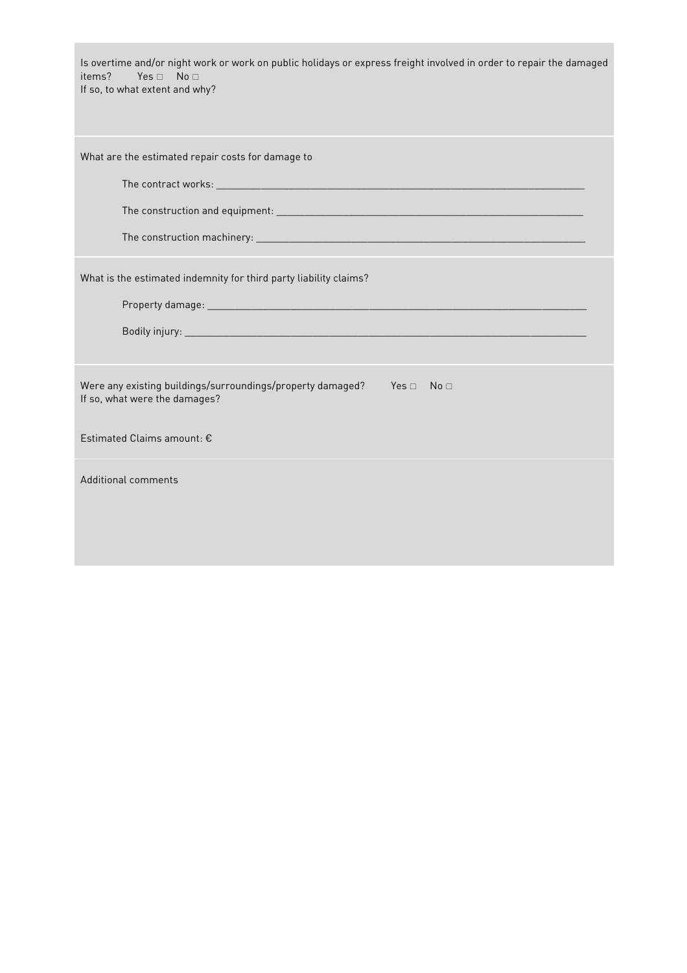| Is overtime and/or night work or work on public holidays or express freight involved in order to repair the damaged<br>items?<br>$Yes \sqcap No \sqcap$<br>If so, to what extent and why? |
|-------------------------------------------------------------------------------------------------------------------------------------------------------------------------------------------|
| What are the estimated repair costs for damage to                                                                                                                                         |
|                                                                                                                                                                                           |
|                                                                                                                                                                                           |
|                                                                                                                                                                                           |
| What is the estimated indemnity for third party liability claims?                                                                                                                         |
| Property damage: https://www.archive.com/communications/communications/communications/communications                                                                                      |
|                                                                                                                                                                                           |
| Were any existing buildings/surroundings/property damaged?<br>$Yes \Box$ No $\Box$<br>If so, what were the damages?                                                                       |
| Estimated Claims amount: €                                                                                                                                                                |
| Additional comments                                                                                                                                                                       |
|                                                                                                                                                                                           |
|                                                                                                                                                                                           |
|                                                                                                                                                                                           |